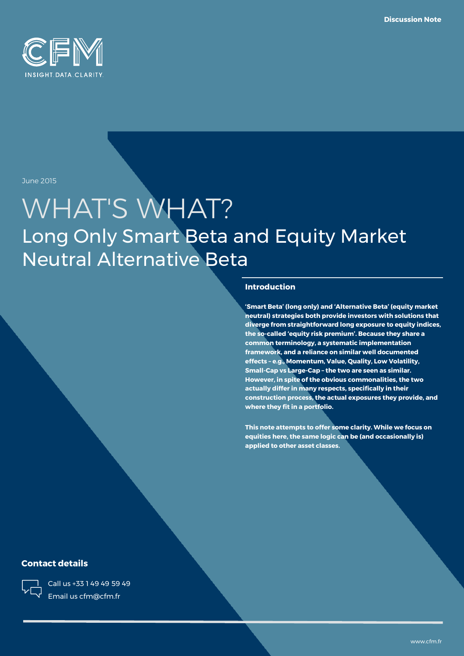

June 2015

# WHAT'S WHAT? Long Only Smart Beta and Equity Market Neutral Alternative Beta

#### **Introduction**

**'Smart Beta' (long only) and 'Alternative Beta' (equity market neutral) strategies both provide investors with solutions that diverge from straightforward long exposure to equity indices, the so-called 'equity risk premium'. Because they share a common terminology, a systematic implementation framework, and a reliance on similar well documented effects – e.g., Momentum, Value, Quality, Low Volatility, Small-Cap vs Large-Cap – the two are seen as similar. However, in spite of the obvious commonalities, the two actually differ in many respects, specifically in their construction process, the actual exposures they provide, and where they fit in a portfolio.** 

**This note attempts to offer some clarity. While we focus on equities here, the same logic can be (and occasionally is) applied to other asset classes.**

#### **Contact details**



Call us +33 1 49 49 59 49 Email us cfm@cfm.fr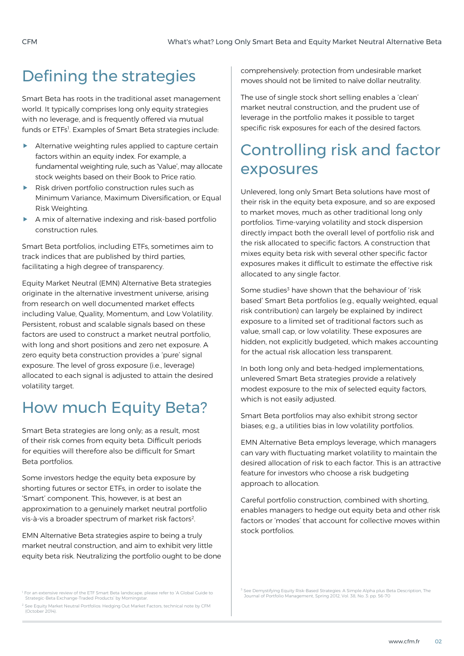## Defining the strategies

Smart Beta has roots in the traditional asset management world. It typically comprises long only equity strategies with no leverage, and is frequently offered via mutual funds or ETFs<sup>1</sup>. Examples of Smart Beta strategies include:

- Alternative weighting rules applied to capture certain factors within an equity index. For example, a fundamental weighting rule, such as 'Value', may allocate stock weights based on their Book to Price ratio.
- Risk driven portfolio construction rules such as Minimum Variance, Maximum Diversification, or Equal Risk Weighting.
- A mix of alternative indexing and risk-based portfolio construction rules.

Smart Beta portfolios, including ETFs, sometimes aim to track indices that are published by third parties, facilitating a high degree of transparency.

Equity Market Neutral (EMN) Alternative Beta strategies originate in the alternative investment universe, arising from research on well documented market effects including Value, Quality, Momentum, and Low Volatility. Persistent, robust and scalable signals based on these factors are used to construct a market neutral portfolio, with long and short positions and zero net exposure. A zero equity beta construction provides a 'pure' signal exposure. The level of gross exposure (i.e., leverage) allocated to each signal is adjusted to attain the desired volatility target.

## How much Equity Beta?

Smart Beta strategies are long only; as a result, most of their risk comes from equity beta. Difficult periods for equities will therefore also be difficult for Smart Beta portfolios.

Some investors hedge the equity beta exposure by shorting futures or sector ETFs, in order to isolate the 'Smart' component. This, however, is at best an approximation to a genuinely market neutral portfolio vis-à-vis a broader spectrum of market risk factors<sup>2</sup>.

EMN Alternative Beta strategies aspire to being a truly market neutral construction, and aim to exhibit very little equity beta risk. Neutralizing the portfolio ought to be done comprehensively: protection from undesirable market moves should not be limited to naïve dollar neutrality.

The use of single stock short selling enables a 'clean' market neutral construction, and the prudent use of leverage in the portfolio makes it possible to target specific risk exposures for each of the desired factors.

# Controlling risk and factor exposures

Unlevered, long only Smart Beta solutions have most of their risk in the equity beta exposure, and so are exposed to market moves, much as other traditional long only portfolios. Time-varying volatility and stock dispersion directly impact both the overall level of portfolio risk and the risk allocated to specific factors. A construction that mixes equity beta risk with several other specific factor exposures makes it difficult to estimate the effective risk allocated to any single factor.

Some studies<sup>3</sup> have shown that the behaviour of 'risk based' Smart Beta portfolios (e.g., equally weighted, equal risk contribution) can largely be explained by indirect exposure to a limited set of traditional factors such as value, small cap, or low volatility. These exposures are hidden, not explicitly budgeted, which makes accounting for the actual risk allocation less transparent.

In both long only and beta-hedged implementations, unlevered Smart Beta strategies provide a relatively modest exposure to the mix of selected equity factors, which is not easily adjusted.

Smart Beta portfolios may also exhibit strong sector biases; e.g., a utilities bias in low volatility portfolios.

EMN Alternative Beta employs leverage, which managers can vary with fluctuating market volatility to maintain the desired allocation of risk to each factor. This is an attractive feature for investors who choose a risk budgeting approach to allocation.

Careful portfolio construction, combined with shorting, enables managers to hedge out equity beta and other risk factors or 'modes' that account for collective moves within stock portfolios.

<sup>1</sup> For an extensive review of the ETF Smart Beta landscape, please refer to 'A Global Guide to Strategic-Beta Exchange-Traded Products' by Morningstar.

<sup>&</sup>lt;sup>2</sup> See Equity Market Neutral Portfolios: Hedging Out Market Factors, technical note by CFM (October 2014).

<sup>&</sup>lt;sup>3</sup> See Demystifying Equity Risk-Based Strategies: A Simple Alpha plus Beta Description, The Journal of Portfolio Management, Spring 2012, Vol. 38, No. 3: pp. 56-70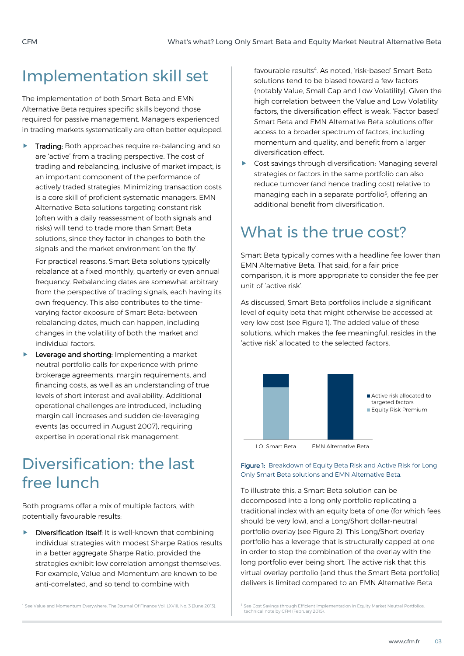### Implementation skill set

The implementation of both Smart Beta and EMN Alternative Beta requires specific skills beyond those required for passive management. Managers experienced in trading markets systematically are often better equipped.

**Trading:** Both approaches require re-balancing and so are 'active' from a trading perspective. The cost of trading and rebalancing, inclusive of market impact, is an important component of the performance of actively traded strategies. Minimizing transaction costs is a core skill of proficient systematic managers. EMN Alternative Beta solutions targeting constant risk (often with a daily reassessment of both signals and risks) will tend to trade more than Smart Beta solutions, since they factor in changes to both the signals and the market environment 'on the fly'.

For practical reasons, Smart Beta solutions typically rebalance at a fixed monthly, quarterly or even annual frequency. Rebalancing dates are somewhat arbitrary from the perspective of trading signals, each having its own frequency. This also contributes to the timevarying factor exposure of Smart Beta: between rebalancing dates, much can happen, including changes in the volatility of both the market and individual factors.

**Leverage and shorting:** Implementing a market neutral portfolio calls for experience with prime brokerage agreements, margin requirements, and financing costs, as well as an understanding of true levels of short interest and availability. Additional operational challenges are introduced, including margin call increases and sudden de-leveraging events (as occurred in August 2007), requiring expertise in operational risk management.

### Diversification: the last free lunch

Both programs offer a mix of multiple factors, with potentially favourable results:

 $\blacktriangleright$  Diversification itself: It is well-known that combining individual strategies with modest Sharpe Ratios results in a better aggregate Sharpe Ratio, provided the strategies exhibit low correlation amongst themselves. For example, Value and Momentum are known to be anti-correlated, and so tend to combine with

favourable results<sup>4</sup>. As noted, 'risk-based' Smart Beta solutions tend to be biased toward a few factors (notably Value, Small Cap and Low Volatility). Given the high correlation between the Value and Low Volatility factors, the diversification effect is weak. 'Factor based' Smart Beta and EMN Alternative Beta solutions offer access to a broader spectrum of factors, including momentum and quality, and benefit from a larger diversification effect.

 Cost savings through diversification: Managing several strategies or factors in the same portfolio can also reduce turnover (and hence trading cost) relative to managing each in a separate portfolio<sup>5</sup>, offering an additional benefit from diversification.

### What is the true cost?

Smart Beta typically comes with a headline fee lower than EMN Alternative Beta. That said, for a fair price comparison, it is more appropriate to consider the fee per unit of 'active risk'.

As discussed, Smart Beta portfolios include a significant level of equity beta that might otherwise be accessed at very low cost (see Figure 1). The added value of these solutions, which makes the fee meaningful, resides in the 'active risk' allocated to the selected factors.



LO Smart Beta EMN Alternative Beta

Figure 1: Breakdown of Equity Beta Risk and Active Risk for Long Only Smart Beta solutions and EMN Alternative Beta.

To illustrate this, a Smart Beta solution can be decomposed into a long only portfolio replicating a traditional index with an equity beta of one (for which fees should be very low), and a Long/Short dollar-neutral portfolio overlay (see Figure 2). This Long/Short overlay portfolio has a leverage that is structurally capped at one in order to stop the combination of the overlay with the long portfolio ever being short. The active risk that this virtual overlay portfolio (and thus the Smart Beta portfolio) delivers is limited compared to an EMN Alternative Beta

<sup>4</sup> See Value and Momentum Everywhere, The Journal Of Finance Vol. LXVIII, No. 3 (June 2013).

<sup>5</sup> See Cost Savings through Efficient Implementation in Equity Market Neutral Portfolios, technical note by CFM (February 2015).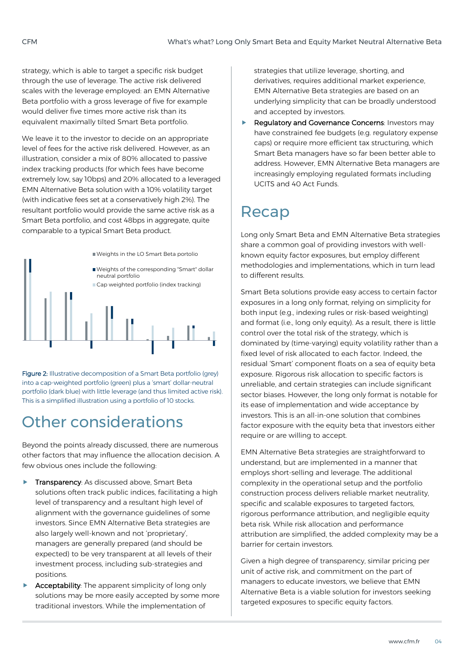strategy, which is able to target a specific risk budget through the use of leverage. The active risk delivered scales with the leverage employed: an EMN Alternative Beta portfolio with a gross leverage of five for example would deliver five times more active risk than its equivalent maximally tilted Smart Beta portfolio.

We leave it to the investor to decide on an appropriate level of fees for the active risk delivered. However, as an illustration, consider a mix of 80% allocated to passive index tracking products (for which fees have become extremely low, say 10bps) and 20% allocated to a leveraged EMN Alternative Beta solution with a 10% volatility target (with indicative fees set at a conservatively high 2%). The resultant portfolio would provide the same active risk as a Smart Beta portfolio, and cost 48bps in aggregate, quite comparable to a typical Smart Beta product.



Figure 2: Illustrative decomposition of a Smart Beta portfolio (grey) into a cap-weighted portfolio (green) plus a 'smart' dollar-neutral portfolio (dark blue) with little leverage (and thus limited active risk). This is a simplified illustration using a portfolio of 10 stocks.

## Other considerations

Beyond the points already discussed, there are numerous other factors that may influence the allocation decision. A few obvious ones include the following:

- **Transparency:** As discussed above, Smart Beta solutions often track public indices, facilitating a high level of transparency and a resultant high level of alignment with the governance guidelines of some investors. Since EMN Alternative Beta strategies are also largely well-known and not 'proprietary', managers are generally prepared (and should be expected) to be very transparent at all levels of their investment process, including sub-strategies and positions.
- Acceptability: The apparent simplicity of long only solutions may be more easily accepted by some more traditional investors. While the implementation of

strategies that utilize leverage, shorting, and derivatives, requires additional market experience, EMN Alternative Beta strategies are based on an underlying simplicity that can be broadly understood and accepted by investors.

 Regulatory and Governance Concerns: Investors may have constrained fee budgets (e.g. regulatory expense caps) or require more efficient tax structuring, which Smart Beta managers have so far been better able to address. However, EMN Alternative Beta managers are increasingly employing regulated formats including UCITS and 40 Act Funds.

### Recap

Long only Smart Beta and EMN Alternative Beta strategies share a common goal of providing investors with wellknown equity factor exposures, but employ different methodologies and implementations, which in turn lead to different results.

Smart Beta solutions provide easy access to certain factor exposures in a long only format, relying on simplicity for both input (e.g., indexing rules or risk-based weighting) and format (i.e., long only equity). As a result, there is little control over the total risk of the strategy, which is dominated by (time-varying) equity volatility rather than a fixed level of risk allocated to each factor. Indeed, the residual 'Smart' component floats on a sea of equity beta exposure. Rigorous risk allocation to specific factors is unreliable, and certain strategies can include significant sector biases. However, the long only format is notable for its ease of implementation and wide acceptance by investors. This is an all-in-one solution that combines factor exposure with the equity beta that investors either require or are willing to accept.

EMN Alternative Beta strategies are straightforward to understand, but are implemented in a manner that employs short-selling and leverage. The additional complexity in the operational setup and the portfolio construction process delivers reliable market neutrality, specific and scalable exposures to targeted factors, rigorous performance attribution, and negligible equity beta risk. While risk allocation and performance attribution are simplified, the added complexity may be a barrier for certain investors.

Given a high degree of transparency, similar pricing per unit of active risk, and commitment on the part of managers to educate investors, we believe that EMN Alternative Beta is a viable solution for investors seeking targeted exposures to specific equity factors.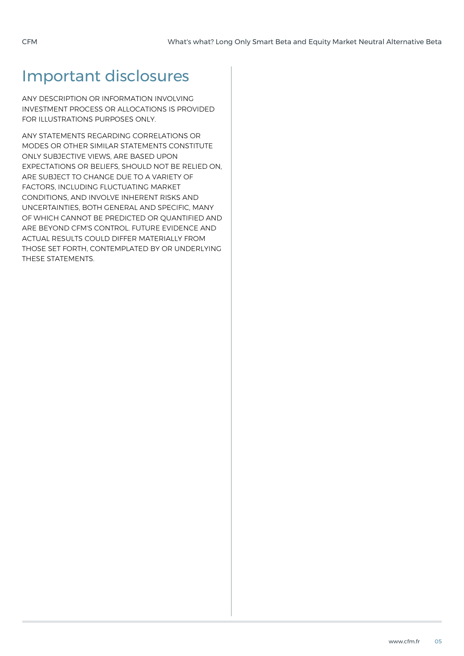### Important disclosures

ANY DESCRIPTION OR INFORMATION INVOLVING INVESTMENT PROCESS OR ALLOCATIONS IS PROVIDED FOR ILLUSTRATIONS PURPOSES ONLY.

ANY STATEMENTS REGARDING CORRELATIONS OR MODES OR OTHER SIMILAR STATEMENTS CONSTITUTE ONLY SUBJECTIVE VIEWS, ARE BASED UPON EXPECTATIONS OR BELIEFS, SHOULD NOT BE RELIED ON, ARE SUBJECT TO CHANGE DUE TO A VARIETY OF FACTORS, INCLUDING FLUCTUATING MARKET CONDITIONS, AND INVOLVE INHERENT RISKS AND UNCERTAINTIES, BOTH GENERAL AND SPECIFIC, MANY OF WHICH CANNOT BE PREDICTED OR QUANTIFIED AND ARE BEYOND CFM'S CONTROL. FUTURE EVIDENCE AND ACTUAL RESULTS COULD DIFFER MATERIALLY FROM THOSE SET FORTH, CONTEMPLATED BY OR UNDERLYING THESE STATEMENTS.